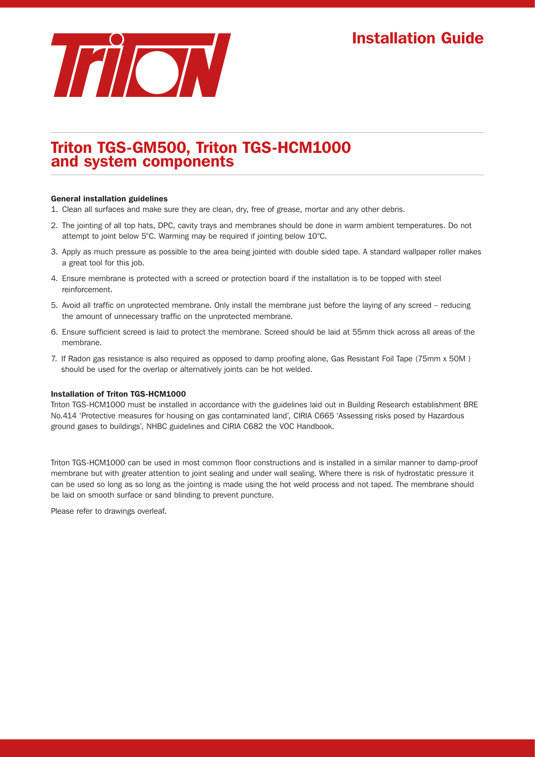

# Triton TGS-GM500, Triton TGS-HCM1000 and system components

### General installation guidelines

- 1. Clean all surfaces and make sure they are clean, dry, free of grease, mortar and any other debris.
- 2. The jointing of all top hats, DPC, cavity trays and membranes should be done in warm ambient temperatures. Do not attempt to joint below 5°C. Warming may be required if jointing below 10°C.
- 3. Apply as much pressure as possible to the area being jointed with double sided tape. A standard wallpaper roller makes a great tool for this job.
- 4. Ensure membrane is protected with a screed or protection board if the installation is to be topped with steel reinforcement.
- 5. Avoid all traffic on unprotected membrane. Only install the membrane just before the laying of any screed reducing the amount of unnecessary traffic on the unprotected membrane.
- 6. Ensure sufficient screed is laid to protect the membrane. Screed should be laid at 55mm thick across all areas of the membrane.
- 7. If Radon gas resistance is also required as opposed to damp proofing alone, Gas Resistant Foil Tape (75mm x 50M ) should be used for the overlap or alternatively joints can be hot welded.

### Installation of Triton TGS-HCM1000

Triton TGS-HCM1000 must be installed in accordance with the guidelines laid out in Building Research establishment BRE No.414 'Protective measures for housing on gas contaminated land', CIRIA C665 'Assessing risks posed by Hazardous ground gases to buildings', NHBC guidelines and CIRIA C682 the VOC Handbook.

Triton TGS-HCM1000 can be used in most common floor constructions and is installed in a similar manner to damp-proof membrane but with greater attention to joint sealing and under wall sealing. Where there is risk of hydrostatic pressure it can be used so long as so long as the jointing is made using the hot weld process and not taped. The membrane should be laid on smooth surface or sand blinding to prevent puncture.

Please refer to drawings overleaf.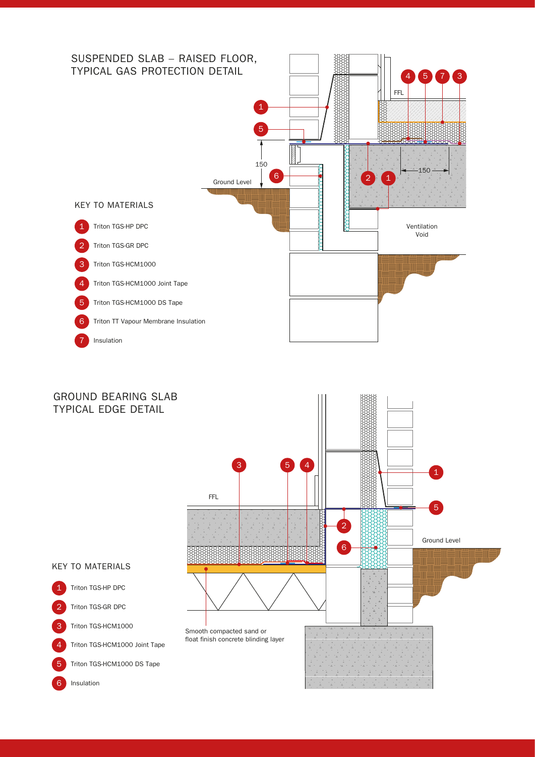

# GROUND BEARING SLAB

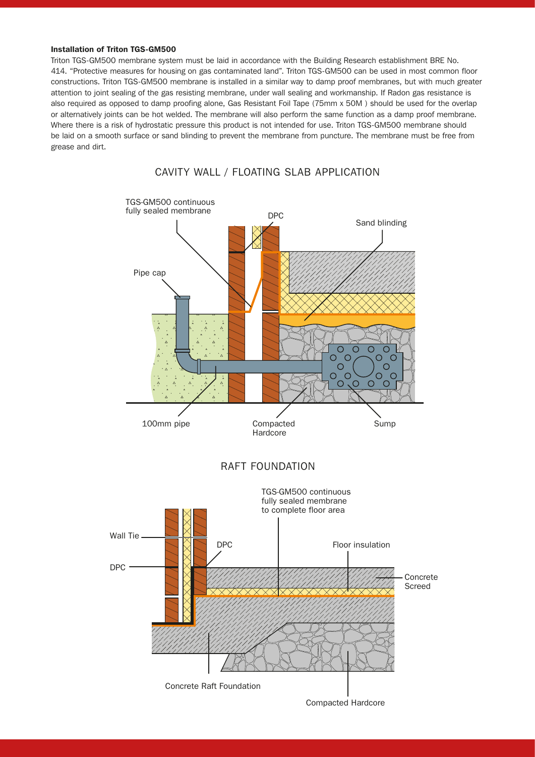### Installation of Triton TGS-GM500

Triton TGS-GM500 membrane system must be laid in accordance with the Building Research establishment BRE No. 414. "Protective measures for housing on gas contaminated land". Triton TGS-GM500 can be used in most common floor constructions. Triton TGS-GM500 membrane is installed in a similar way to damp proof membranes, but with much greater attention to joint sealing of the gas resisting membrane, under wall sealing and workmanship. If Radon gas resistance is also required as opposed to damp proofing alone, Gas Resistant Foil Tape (75mm x 50M ) should be used for the overlap or alternatively joints can be hot welded. The membrane will also perform the same function as a damp proof membrane. Where there is a risk of hydrostatic pressure this product is not intended for use. Triton TGS-GM500 membrane should be laid on a smooth surface or sand blinding to prevent the membrane from puncture. The membrane must be free from grease and dirt.



Compacted Hardcore

# CAVITY WALL / FLOATING SLAB APPLICATION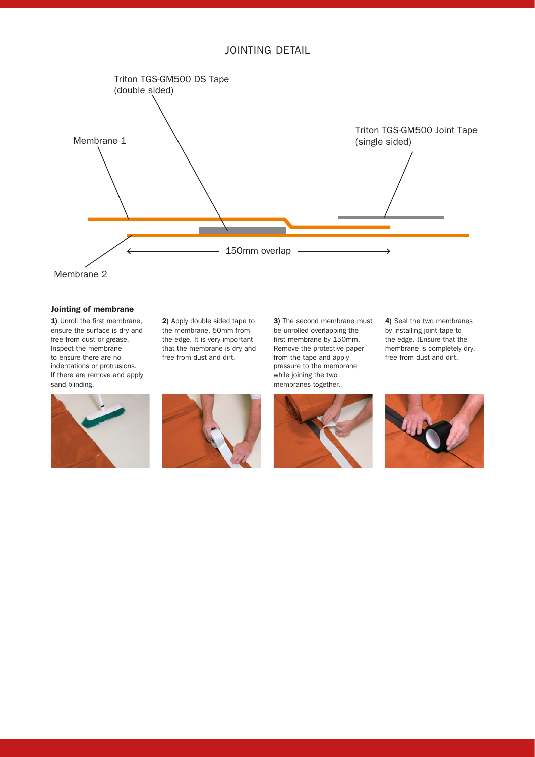



### Jointing of membrane

1) Unroll the first membrane, ensure the surface is dry and free from dust or grease. Inspect the membrane to ensure there are no indentations or protrusions. If there are remove and apply sand blinding.

2) Apply double sided tape to the membrane, 50mm from the edge. It is very important that the membrane is dry and free from dust and dirt.



3) The second membrane must be unrolled overlapping the first membrane by 150mm. Remove the protective paper from the tape and apply pressure to the membrane while joining the two membranes together.



4) Seal the two membranes by installing joint tape to the edge. (Ensure that the membrane is completely dry, free from dust and dirt.